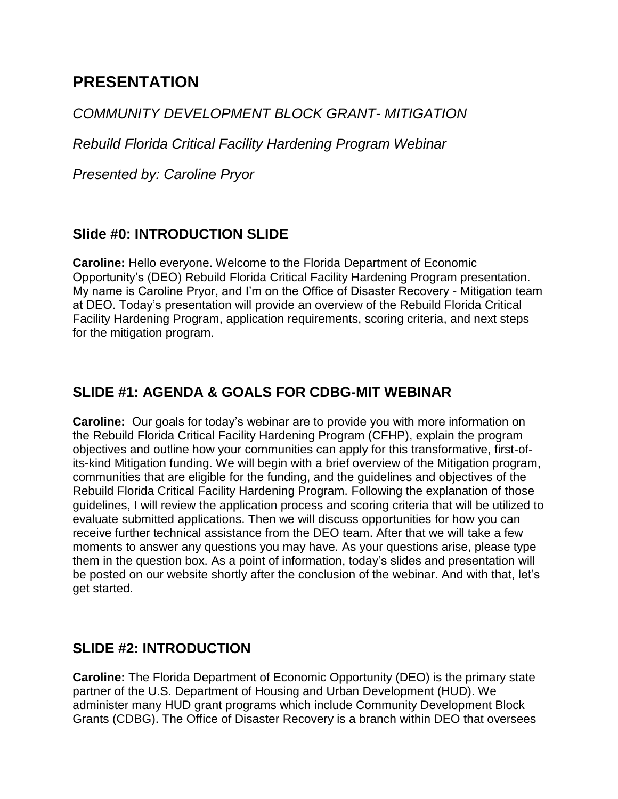# **PRESENTATION**

### *COMMUNITY DEVELOPMENT BLOCK GRANT- MITIGATION*

*Rebuild Florida Critical Facility Hardening Program Webinar*

*Presented by: Caroline Pryor*

## **Slide #0: INTRODUCTION SLIDE**

**Caroline:** Hello everyone. Welcome to the Florida Department of Economic Opportunity's (DEO) Rebuild Florida Critical Facility Hardening Program presentation. My name is Caroline Pryor, and I'm on the Office of Disaster Recovery - Mitigation team at DEO. Today's presentation will provide an overview of the Rebuild Florida Critical Facility Hardening Program, application requirements, scoring criteria, and next steps for the mitigation program.

## **SLIDE #1: AGENDA & GOALS FOR CDBG-MIT WEBINAR**

**Caroline:** Our goals for today's webinar are to provide you with more information on the Rebuild Florida Critical Facility Hardening Program (CFHP), explain the program objectives and outline how your communities can apply for this transformative, first-ofits-kind Mitigation funding. We will begin with a brief overview of the Mitigation program, communities that are eligible for the funding, and the guidelines and objectives of the Rebuild Florida Critical Facility Hardening Program. Following the explanation of those guidelines, I will review the application process and scoring criteria that will be utilized to evaluate submitted applications. Then we will discuss opportunities for how you can receive further technical assistance from the DEO team. After that we will take a few moments to answer any questions you may have. As your questions arise, please type them in the question box. As a point of information, today's slides and presentation will be posted on our website shortly after the conclusion of the webinar. And with that, let's get started.

## **SLIDE #2: INTRODUCTION**

**Caroline:** The Florida Department of Economic Opportunity (DEO) is the primary state partner of the U.S. Department of Housing and Urban Development (HUD). We administer many HUD grant programs which include Community Development Block Grants (CDBG). The Office of Disaster Recovery is a branch within DEO that oversees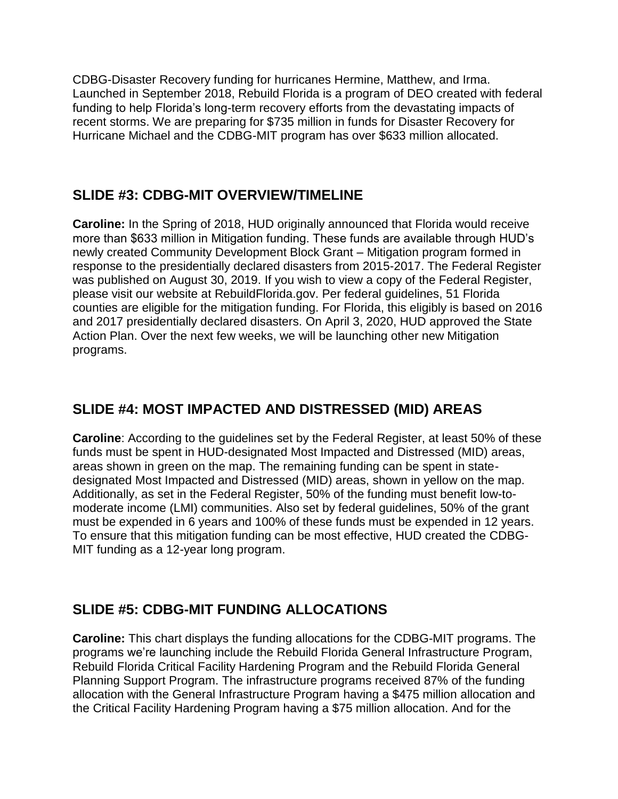CDBG-Disaster Recovery funding for hurricanes Hermine, Matthew, and Irma. Launched in September 2018, Rebuild Florida is a program of DEO created with federal funding to help Florida's long-term recovery efforts from the devastating impacts of recent storms. We are preparing for \$735 million in funds for Disaster Recovery for Hurricane Michael and the CDBG-MIT program has over \$633 million allocated.

## **SLIDE #3: CDBG-MIT OVERVIEW/TIMELINE**

**Caroline:** In the Spring of 2018, HUD originally announced that Florida would receive more than \$633 million in Mitigation funding. These funds are available through HUD's newly created Community Development Block Grant – Mitigation program formed in response to the presidentially declared disasters from 2015-2017. The Federal Register was published on August 30, 2019. If you wish to view a copy of the Federal Register, please visit our website at RebuildFlorida.gov. Per federal guidelines, 51 Florida counties are eligible for the mitigation funding. For Florida, this eligibly is based on 2016 and 2017 presidentially declared disasters. On April 3, 2020, HUD approved the State Action Plan. Over the next few weeks, we will be launching other new Mitigation programs.

## **SLIDE #4: MOST IMPACTED AND DISTRESSED (MID) AREAS**

**Caroline**: According to the guidelines set by the Federal Register, at least 50% of these funds must be spent in HUD-designated Most Impacted and Distressed (MID) areas, areas shown in green on the map. The remaining funding can be spent in statedesignated Most Impacted and Distressed (MID) areas, shown in yellow on the map. Additionally, as set in the Federal Register, 50% of the funding must benefit low-tomoderate income (LMI) communities. Also set by federal guidelines, 50% of the grant must be expended in 6 years and 100% of these funds must be expended in 12 years. To ensure that this mitigation funding can be most effective, HUD created the CDBG-MIT funding as a 12-year long program.

## **SLIDE #5: CDBG-MIT FUNDING ALLOCATIONS**

**Caroline:** This chart displays the funding allocations for the CDBG-MIT programs. The programs we're launching include the Rebuild Florida General Infrastructure Program, Rebuild Florida Critical Facility Hardening Program and the Rebuild Florida General Planning Support Program. The infrastructure programs received 87% of the funding allocation with the General Infrastructure Program having a \$475 million allocation and the Critical Facility Hardening Program having a \$75 million allocation. And for the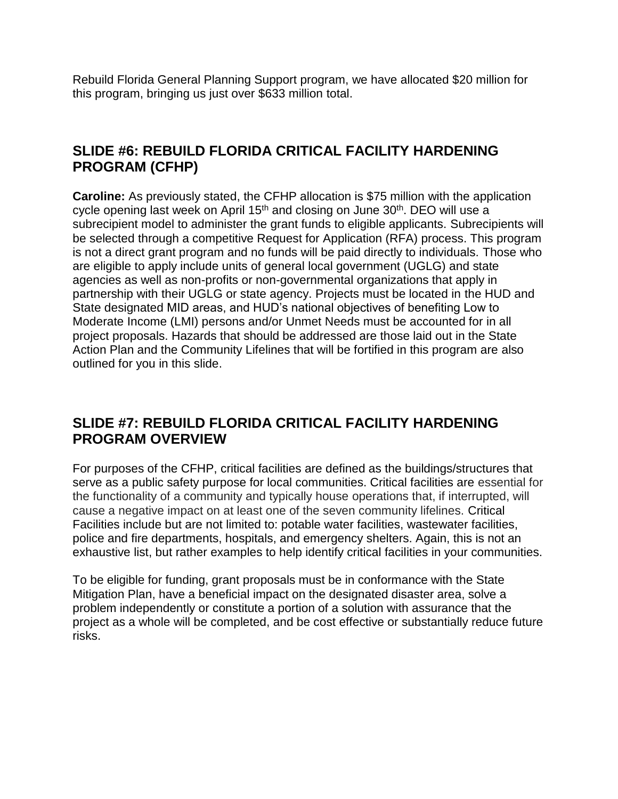Rebuild Florida General Planning Support program, we have allocated \$20 million for this program, bringing us just over \$633 million total.

#### **SLIDE #6: REBUILD FLORIDA CRITICAL FACILITY HARDENING PROGRAM (CFHP)**

**Caroline:** As previously stated, the CFHP allocation is \$75 million with the application cycle opening last week on April 15<sup>th</sup> and closing on June 30<sup>th</sup>. DEO will use a subrecipient model to administer the grant funds to eligible applicants. Subrecipients will be selected through a competitive Request for Application (RFA) process. This program is not a direct grant program and no funds will be paid directly to individuals. Those who are eligible to apply include units of general local government (UGLG) and state agencies as well as non-profits or non-governmental organizations that apply in partnership with their UGLG or state agency. Projects must be located in the HUD and State designated MID areas, and HUD's national objectives of benefiting Low to Moderate Income (LMI) persons and/or Unmet Needs must be accounted for in all project proposals. Hazards that should be addressed are those laid out in the State Action Plan and the Community Lifelines that will be fortified in this program are also outlined for you in this slide.

#### **SLIDE #7: REBUILD FLORIDA CRITICAL FACILITY HARDENING PROGRAM OVERVIEW**

For purposes of the CFHP, critical facilities are defined as the buildings/structures that serve as a public safety purpose for local communities. Critical facilities are essential for the functionality of a community and typically house operations that, if interrupted, will cause a negative impact on at least one of the seven community lifelines. Critical Facilities include but are not limited to: potable water facilities, wastewater facilities, police and fire departments, hospitals, and emergency shelters. Again, this is not an exhaustive list, but rather examples to help identify critical facilities in your communities.

To be eligible for funding, grant proposals must be in conformance with the State Mitigation Plan, have a beneficial impact on the designated disaster area, solve a problem independently or constitute a portion of a solution with assurance that the project as a whole will be completed, and be cost effective or substantially reduce future risks.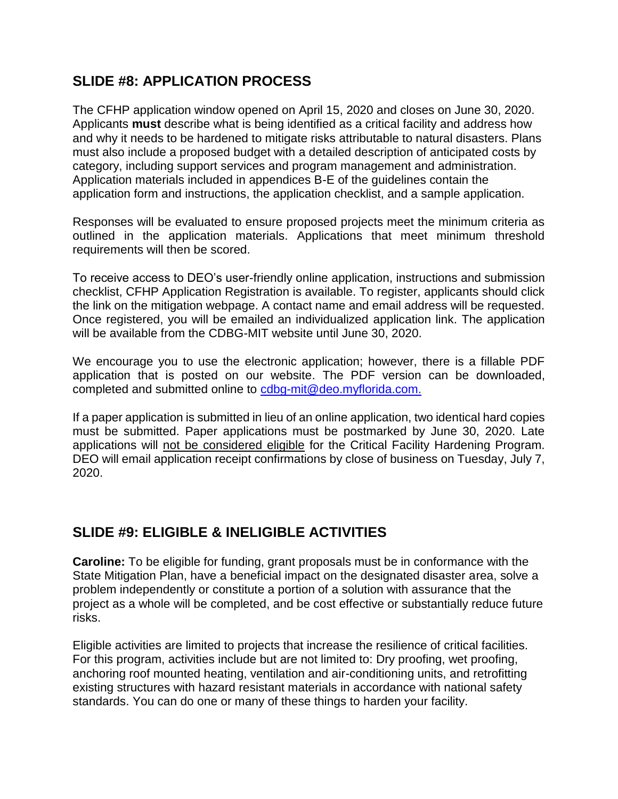### **SLIDE #8: APPLICATION PROCESS**

The CFHP application window opened on April 15, 2020 and closes on June 30, 2020. Applicants **must** describe what is being identified as a critical facility and address how and why it needs to be hardened to mitigate risks attributable to natural disasters. Plans must also include a proposed budget with a detailed description of anticipated costs by category, including support services and program management and administration. Application materials included in appendices B-E of the guidelines contain the application form and instructions, the application checklist, and a sample application.

Responses will be evaluated to ensure proposed projects meet the minimum criteria as outlined in the application materials. Applications that meet minimum threshold requirements will then be scored.

To receive access to DEO's user-friendly online application, instructions and submission checklist, CFHP Application Registration is available. To register, applicants should click the link on the mitigation webpage. A contact name and email address will be requested. Once registered, you will be emailed an individualized application link. The application will be available from the CDBG-MIT website until June 30, 2020.

We encourage you to use the electronic application; however, there is a fillable PDF application that is posted on our website. The PDF version can be downloaded, completed and submitted online to [cdbg-mit@deo.myflorida.com.](mailto:cdbg-mit@deo.myflorida.com)

If a paper application is submitted in lieu of an online application, two identical hard copies must be submitted. Paper applications must be postmarked by June 30, 2020. Late applications will not be considered eligible for the Critical Facility Hardening Program. DEO will email application receipt confirmations by close of business on Tuesday, July 7, 2020.

## **SLIDE #9: ELIGIBLE & INELIGIBLE ACTIVITIES**

**Caroline:** To be eligible for funding, grant proposals must be in conformance with the State Mitigation Plan, have a beneficial impact on the designated disaster area, solve a problem independently or constitute a portion of a solution with assurance that the project as a whole will be completed, and be cost effective or substantially reduce future risks.

Eligible activities are limited to projects that increase the resilience of critical facilities. For this program, activities include but are not limited to: Dry proofing, wet proofing, anchoring roof mounted heating, ventilation and air-conditioning units, and retrofitting existing structures with hazard resistant materials in accordance with national safety standards. You can do one or many of these things to harden your facility.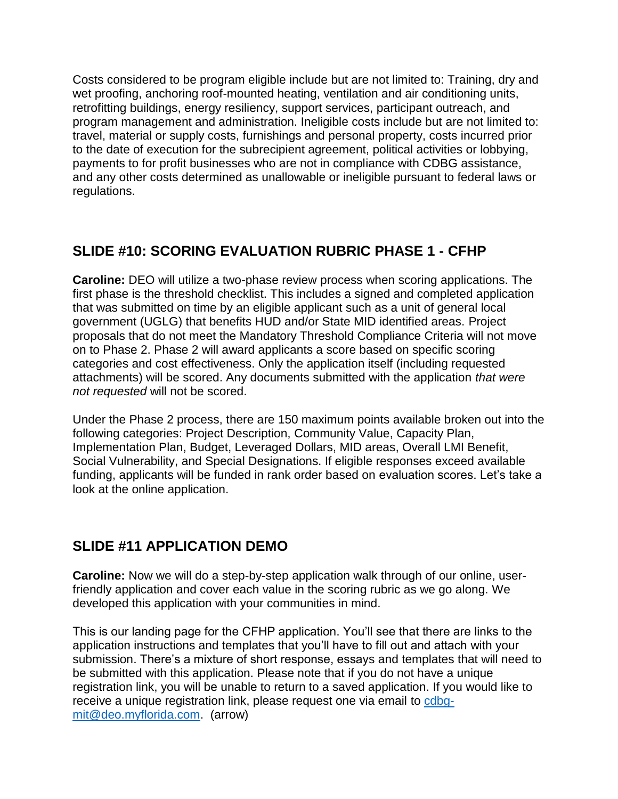Costs considered to be program eligible include but are not limited to: Training, dry and wet proofing, anchoring roof-mounted heating, ventilation and air conditioning units, retrofitting buildings, energy resiliency, support services, participant outreach, and program management and administration. Ineligible costs include but are not limited to: travel, material or supply costs, furnishings and personal property, costs incurred prior to the date of execution for the subrecipient agreement, political activities or lobbying, payments to for profit businesses who are not in compliance with CDBG assistance, and any other costs determined as unallowable or ineligible pursuant to federal laws or regulations.

## **SLIDE #10: SCORING EVALUATION RUBRIC PHASE 1 - CFHP**

**Caroline:** DEO will utilize a two-phase review process when scoring applications. The first phase is the threshold checklist. This includes a signed and completed application that was submitted on time by an eligible applicant such as a unit of general local government (UGLG) that benefits HUD and/or State MID identified areas. Project proposals that do not meet the Mandatory Threshold Compliance Criteria will not move on to Phase 2. Phase 2 will award applicants a score based on specific scoring categories and cost effectiveness. Only the application itself (including requested attachments) will be scored. Any documents submitted with the application *that were not requested* will not be scored.

Under the Phase 2 process, there are 150 maximum points available broken out into the following categories: Project Description, Community Value, Capacity Plan, Implementation Plan, Budget, Leveraged Dollars, MID areas, Overall LMI Benefit, Social Vulnerability, and Special Designations. If eligible responses exceed available funding, applicants will be funded in rank order based on evaluation scores. Let's take a look at the online application.

## **SLIDE #11 APPLICATION DEMO**

**Caroline:** Now we will do a step-by-step application walk through of our online, userfriendly application and cover each value in the scoring rubric as we go along. We developed this application with your communities in mind.

This is our landing page for the CFHP application. You'll see that there are links to the application instructions and templates that you'll have to fill out and attach with your submission. There's a mixture of short response, essays and templates that will need to be submitted with this application. Please note that if you do not have a unique registration link, you will be unable to return to a saved application. If you would like to receive a unique registration link, please request one via email to [cdbg](mailto:cdbg-mit@deo.myflorida.com)[mit@deo.myflorida.com.](mailto:cdbg-mit@deo.myflorida.com) (arrow)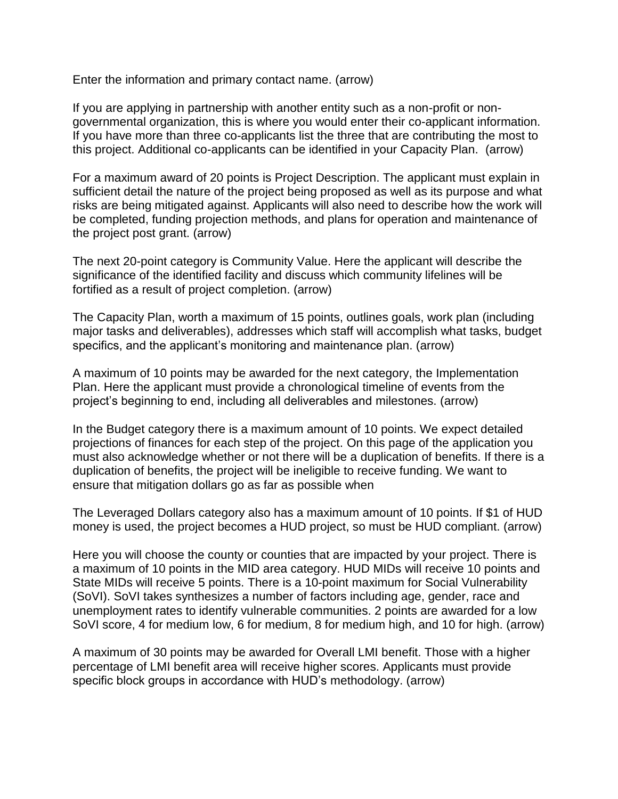Enter the information and primary contact name. (arrow)

If you are applying in partnership with another entity such as a non-profit or nongovernmental organization, this is where you would enter their co-applicant information. If you have more than three co-applicants list the three that are contributing the most to this project. Additional co-applicants can be identified in your Capacity Plan. (arrow)

For a maximum award of 20 points is Project Description. The applicant must explain in sufficient detail the nature of the project being proposed as well as its purpose and what risks are being mitigated against. Applicants will also need to describe how the work will be completed, funding projection methods, and plans for operation and maintenance of the project post grant. (arrow)

The next 20-point category is Community Value. Here the applicant will describe the significance of the identified facility and discuss which community lifelines will be fortified as a result of project completion. (arrow)

The Capacity Plan, worth a maximum of 15 points, outlines goals, work plan (including major tasks and deliverables), addresses which staff will accomplish what tasks, budget specifics, and the applicant's monitoring and maintenance plan. (arrow)

A maximum of 10 points may be awarded for the next category, the Implementation Plan. Here the applicant must provide a chronological timeline of events from the project's beginning to end, including all deliverables and milestones. (arrow)

In the Budget category there is a maximum amount of 10 points. We expect detailed projections of finances for each step of the project. On this page of the application you must also acknowledge whether or not there will be a duplication of benefits. If there is a duplication of benefits, the project will be ineligible to receive funding. We want to ensure that mitigation dollars go as far as possible when

The Leveraged Dollars category also has a maximum amount of 10 points. If \$1 of HUD money is used, the project becomes a HUD project, so must be HUD compliant. (arrow)

Here you will choose the county or counties that are impacted by your project. There is a maximum of 10 points in the MID area category. HUD MIDs will receive 10 points and State MIDs will receive 5 points. There is a 10-point maximum for Social Vulnerability (SoVI). SoVI takes synthesizes a number of factors including age, gender, race and unemployment rates to identify vulnerable communities. 2 points are awarded for a low SoVI score, 4 for medium low, 6 for medium, 8 for medium high, and 10 for high. (arrow)

A maximum of 30 points may be awarded for Overall LMI benefit. Those with a higher percentage of LMI benefit area will receive higher scores. Applicants must provide specific block groups in accordance with HUD's methodology. (arrow)